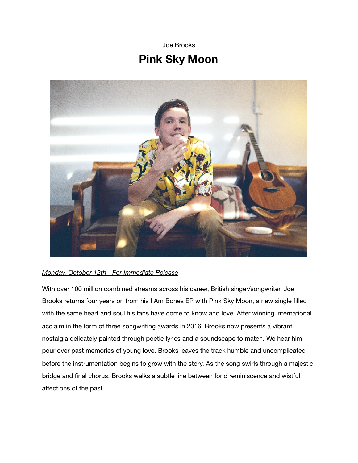Joe Brooks

## **Pink Sky Moon**



## *Monday, October 12th - For Immediate Release*

With over 100 million combined streams across his career, British singer/songwriter, Joe Brooks returns four years on from his I Am Bones EP with Pink Sky Moon, a new single filled with the same heart and soul his fans have come to know and love. After winning international acclaim in the form of three songwriting awards in 2016, Brooks now presents a vibrant nostalgia delicately painted through poetic lyrics and a soundscape to match. We hear him pour over past memories of young love. Brooks leaves the track humble and uncomplicated before the instrumentation begins to grow with the story. As the song swirls through a majestic bridge and final chorus, Brooks walks a subtle line between fond reminiscence and wistful affections of the past.